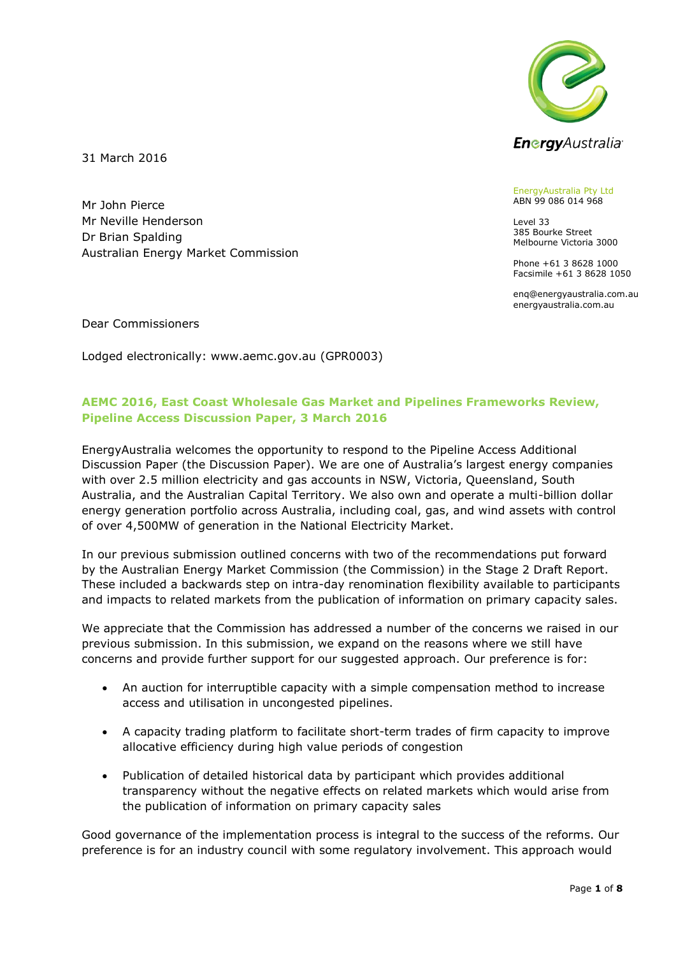

31 March 2016

Mr John Pierce Mr Neville Henderson Dr Brian Spalding Australian Energy Market Commission EnergyAustralia Pty Ltd ABN 99 086 014 968

Level 33 385 Bourke Street Melbourne Victoria 3000

Phone +61 3 8628 1000 Facsimile +61 3 8628 1050

enq@energyaustralia.com.au energyaustralia.com.au

Dear Commissioners

Lodged electronically: www.aemc.gov.au (GPR0003)

## **AEMC 2016, East Coast Wholesale Gas Market and Pipelines Frameworks Review, Pipeline Access Discussion Paper, 3 March 2016**

EnergyAustralia welcomes the opportunity to respond to the Pipeline Access Additional Discussion Paper (the Discussion Paper). We are one of Australia's largest energy companies with over 2.5 million electricity and gas accounts in NSW, Victoria, Queensland, South Australia, and the Australian Capital Territory. We also own and operate a multi-billion dollar energy generation portfolio across Australia, including coal, gas, and wind assets with control of over 4,500MW of generation in the National Electricity Market.

In our previous submission outlined concerns with two of the recommendations put forward by the Australian Energy Market Commission (the Commission) in the Stage 2 Draft Report. These included a backwards step on intra-day renomination flexibility available to participants and impacts to related markets from the publication of information on primary capacity sales.

We appreciate that the Commission has addressed a number of the concerns we raised in our previous submission. In this submission, we expand on the reasons where we still have concerns and provide further support for our suggested approach. Our preference is for:

- An auction for interruptible capacity with a simple compensation method to increase access and utilisation in uncongested pipelines.
- A capacity trading platform to facilitate short-term trades of firm capacity to improve allocative efficiency during high value periods of congestion
- Publication of detailed historical data by participant which provides additional transparency without the negative effects on related markets which would arise from the publication of information on primary capacity sales

Good governance of the implementation process is integral to the success of the reforms. Our preference is for an industry council with some regulatory involvement. This approach would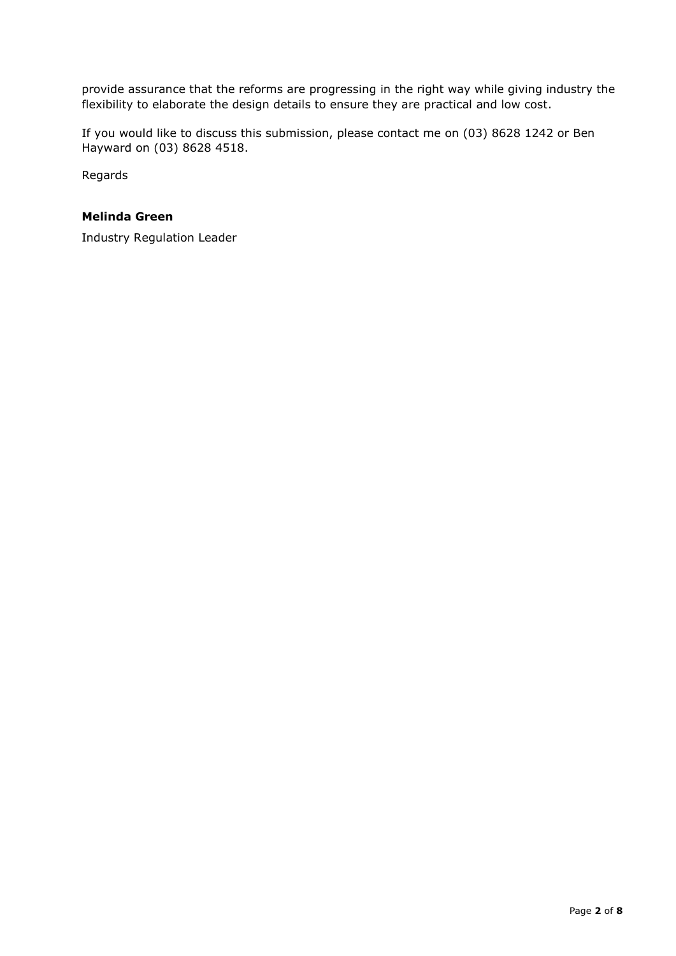provide assurance that the reforms are progressing in the right way while giving industry the flexibility to elaborate the design details to ensure they are practical and low cost.

If you would like to discuss this submission, please contact me on (03) 8628 1242 or Ben Hayward on (03) 8628 4518.

Regards

#### **Melinda Green**

Industry Regulation Leader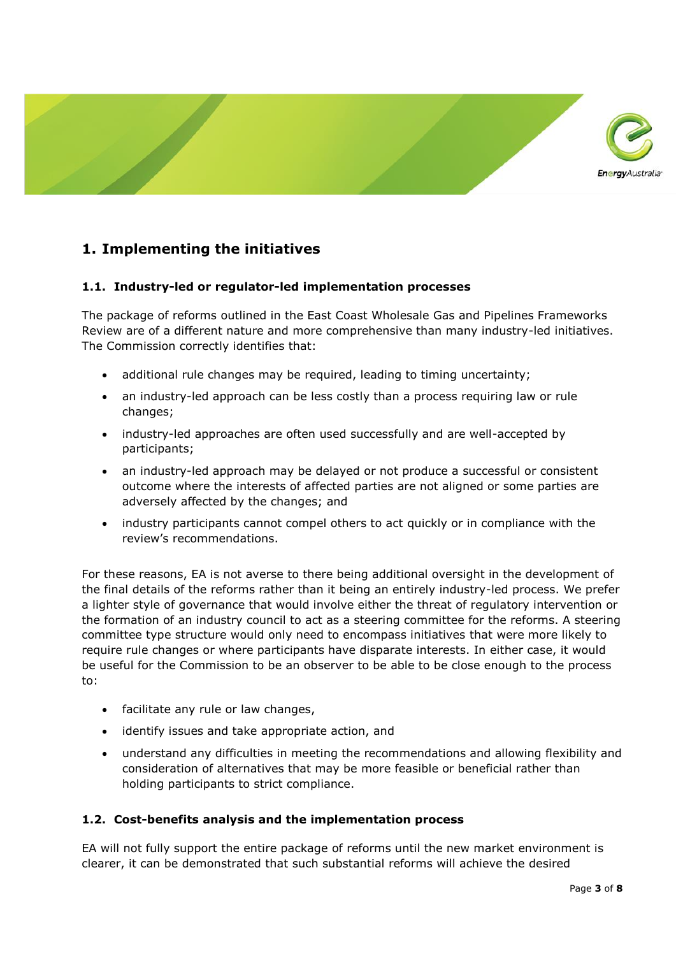

## **1. Implementing the initiatives**

#### **1.1. Industry-led or regulator-led implementation processes**

The package of reforms outlined in the East Coast Wholesale Gas and Pipelines Frameworks Review are of a different nature and more comprehensive than many industry-led initiatives. The Commission correctly identifies that:

- additional rule changes may be required, leading to timing uncertainty;
- an industry-led approach can be less costly than a process requiring law or rule changes;
- industry-led approaches are often used successfully and are well-accepted by participants;
- an industry-led approach may be delayed or not produce a successful or consistent outcome where the interests of affected parties are not aligned or some parties are adversely affected by the changes; and
- industry participants cannot compel others to act quickly or in compliance with the review's recommendations.

For these reasons, EA is not averse to there being additional oversight in the development of the final details of the reforms rather than it being an entirely industry-led process. We prefer a lighter style of governance that would involve either the threat of regulatory intervention or the formation of an industry council to act as a steering committee for the reforms. A steering committee type structure would only need to encompass initiatives that were more likely to require rule changes or where participants have disparate interests. In either case, it would be useful for the Commission to be an observer to be able to be close enough to the process to:

- facilitate any rule or law changes,
- identify issues and take appropriate action, and
- understand any difficulties in meeting the recommendations and allowing flexibility and consideration of alternatives that may be more feasible or beneficial rather than holding participants to strict compliance.

#### **1.2. Cost-benefits analysis and the implementation process**

EA will not fully support the entire package of reforms until the new market environment is clearer, it can be demonstrated that such substantial reforms will achieve the desired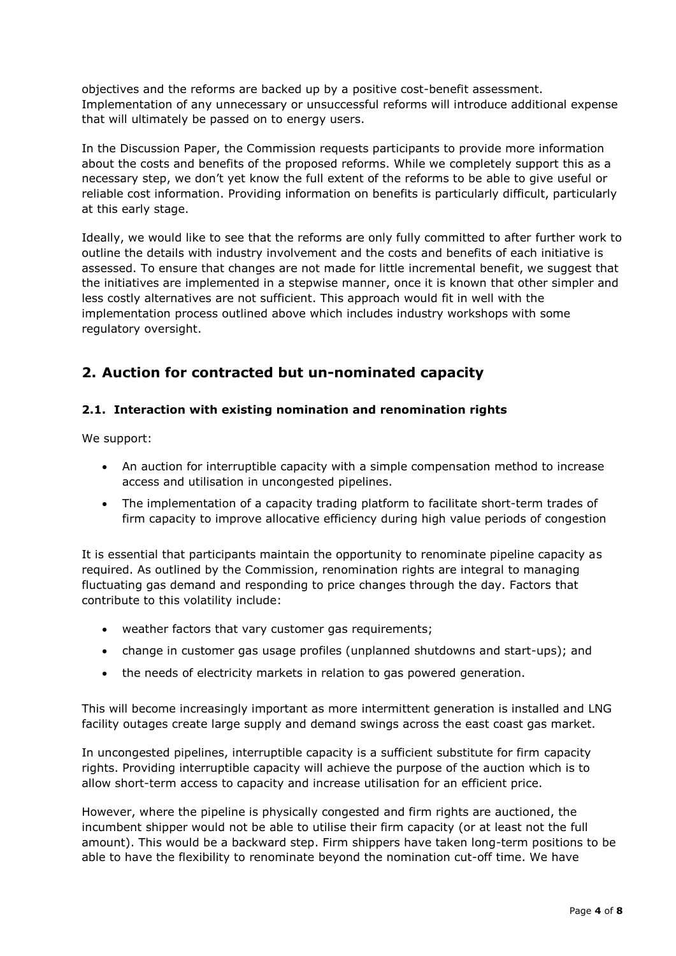objectives and the reforms are backed up by a positive cost-benefit assessment. Implementation of any unnecessary or unsuccessful reforms will introduce additional expense that will ultimately be passed on to energy users.

In the Discussion Paper, the Commission requests participants to provide more information about the costs and benefits of the proposed reforms. While we completely support this as a necessary step, we don't yet know the full extent of the reforms to be able to give useful or reliable cost information. Providing information on benefits is particularly difficult, particularly at this early stage.

Ideally, we would like to see that the reforms are only fully committed to after further work to outline the details with industry involvement and the costs and benefits of each initiative is assessed. To ensure that changes are not made for little incremental benefit, we suggest that the initiatives are implemented in a stepwise manner, once it is known that other simpler and less costly alternatives are not sufficient. This approach would fit in well with the implementation process outlined above which includes industry workshops with some regulatory oversight.

# **2. Auction for contracted but un-nominated capacity**

### **2.1. Interaction with existing nomination and renomination rights**

We support:

- An auction for interruptible capacity with a simple compensation method to increase access and utilisation in uncongested pipelines.
- The implementation of a capacity trading platform to facilitate short-term trades of firm capacity to improve allocative efficiency during high value periods of congestion

It is essential that participants maintain the opportunity to renominate pipeline capacity as required. As outlined by the Commission, renomination rights are integral to managing fluctuating gas demand and responding to price changes through the day. Factors that contribute to this volatility include:

- weather factors that vary customer gas requirements;
- change in customer gas usage profiles (unplanned shutdowns and start-ups); and
- the needs of electricity markets in relation to gas powered generation.

This will become increasingly important as more intermittent generation is installed and LNG facility outages create large supply and demand swings across the east coast gas market.

In uncongested pipelines, interruptible capacity is a sufficient substitute for firm capacity rights. Providing interruptible capacity will achieve the purpose of the auction which is to allow short-term access to capacity and increase utilisation for an efficient price.

However, where the pipeline is physically congested and firm rights are auctioned, the incumbent shipper would not be able to utilise their firm capacity (or at least not the full amount). This would be a backward step. Firm shippers have taken long-term positions to be able to have the flexibility to renominate beyond the nomination cut-off time. We have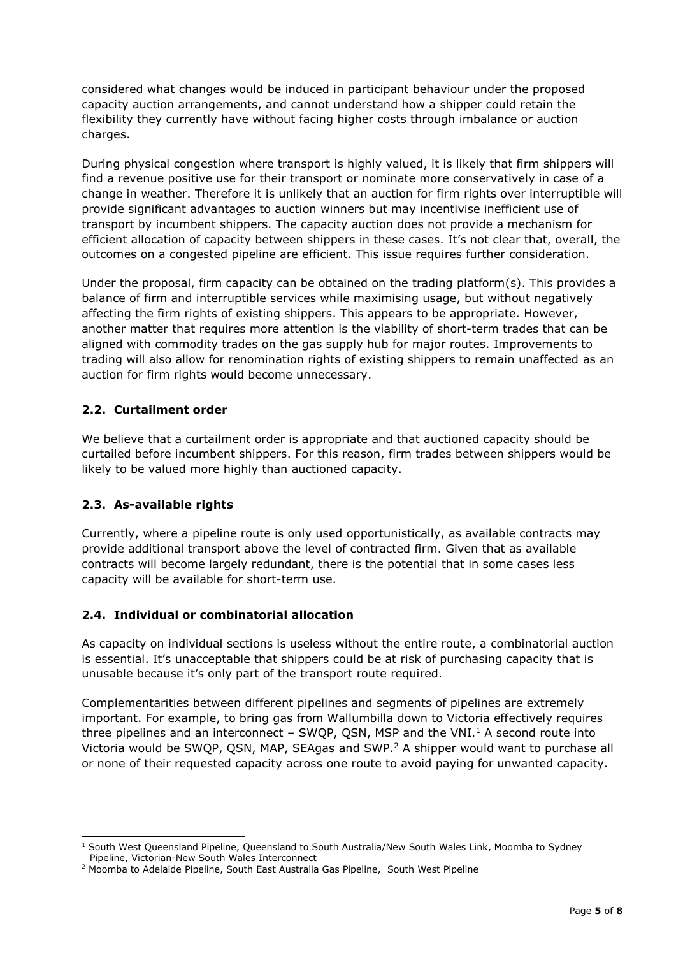considered what changes would be induced in participant behaviour under the proposed capacity auction arrangements, and cannot understand how a shipper could retain the flexibility they currently have without facing higher costs through imbalance or auction charges.

During physical congestion where transport is highly valued, it is likely that firm shippers will find a revenue positive use for their transport or nominate more conservatively in case of a change in weather. Therefore it is unlikely that an auction for firm rights over interruptible will provide significant advantages to auction winners but may incentivise inefficient use of transport by incumbent shippers. The capacity auction does not provide a mechanism for efficient allocation of capacity between shippers in these cases. It's not clear that, overall, the outcomes on a congested pipeline are efficient. This issue requires further consideration.

Under the proposal, firm capacity can be obtained on the trading platform(s). This provides a balance of firm and interruptible services while maximising usage, but without negatively affecting the firm rights of existing shippers. This appears to be appropriate. However, another matter that requires more attention is the viability of short-term trades that can be aligned with commodity trades on the gas supply hub for major routes. Improvements to trading will also allow for renomination rights of existing shippers to remain unaffected as an auction for firm rights would become unnecessary.

## **2.2. Curtailment order**

We believe that a curtailment order is appropriate and that auctioned capacity should be curtailed before incumbent shippers. For this reason, firm trades between shippers would be likely to be valued more highly than auctioned capacity.

#### **2.3. As-available rights**

<u>.</u>

Currently, where a pipeline route is only used opportunistically, as available contracts may provide additional transport above the level of contracted firm. Given that as available contracts will become largely redundant, there is the potential that in some cases less capacity will be available for short-term use.

#### **2.4. Individual or combinatorial allocation**

As capacity on individual sections is useless without the entire route, a combinatorial auction is essential. It's unacceptable that shippers could be at risk of purchasing capacity that is unusable because it's only part of the transport route required.

Complementarities between different pipelines and segments of pipelines are extremely important. For example, to bring gas from Wallumbilla down to Victoria effectively requires three pipelines and an interconnect  $-$  SWQP, QSN, MSP and the VNI.<sup>1</sup> A second route into Victoria would be SWQP, QSN, MAP, SEAgas and SWP.<sup>2</sup> A shipper would want to purchase all or none of their requested capacity across one route to avoid paying for unwanted capacity.

<sup>&</sup>lt;sup>1</sup> South West Queensland Pipeline, Queensland to South Australia/New South Wales Link, Moomba to Sydney Pipeline, Victorian-New South Wales Interconnect

<sup>2</sup> Moomba to Adelaide Pipeline, South East Australia Gas Pipeline, South West Pipeline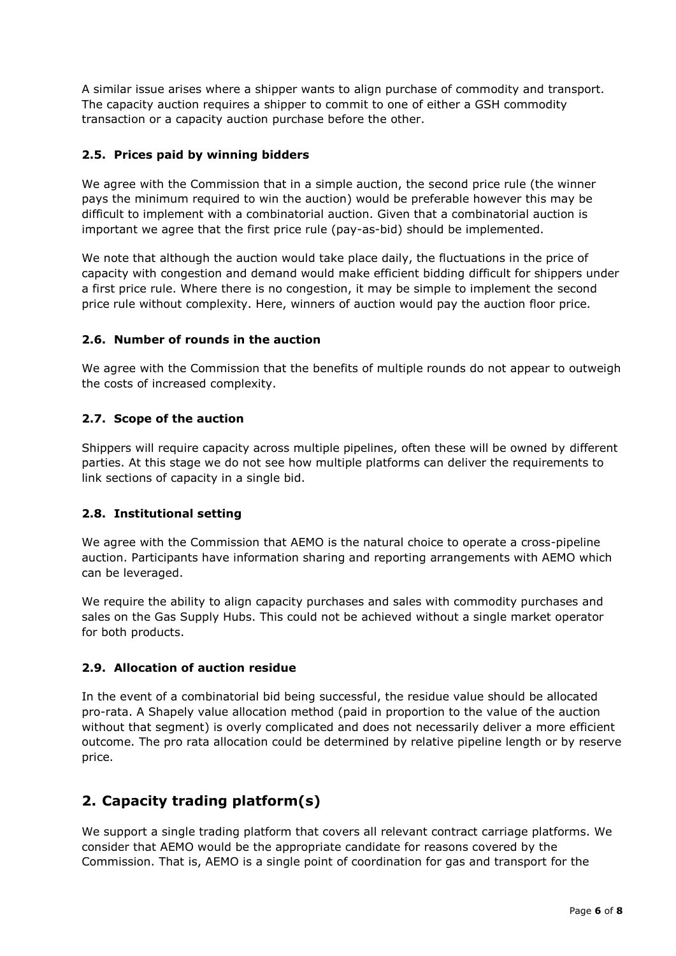A similar issue arises where a shipper wants to align purchase of commodity and transport. The capacity auction requires a shipper to commit to one of either a GSH commodity transaction or a capacity auction purchase before the other.

#### **2.5. Prices paid by winning bidders**

We agree with the Commission that in a simple auction, the second price rule (the winner pays the minimum required to win the auction) would be preferable however this may be difficult to implement with a combinatorial auction. Given that a combinatorial auction is important we agree that the first price rule (pay-as-bid) should be implemented.

We note that although the auction would take place daily, the fluctuations in the price of capacity with congestion and demand would make efficient bidding difficult for shippers under a first price rule. Where there is no congestion, it may be simple to implement the second price rule without complexity. Here, winners of auction would pay the auction floor price.

#### **2.6. Number of rounds in the auction**

We agree with the Commission that the benefits of multiple rounds do not appear to outweigh the costs of increased complexity.

### **2.7. Scope of the auction**

Shippers will require capacity across multiple pipelines, often these will be owned by different parties. At this stage we do not see how multiple platforms can deliver the requirements to link sections of capacity in a single bid.

#### **2.8. Institutional setting**

We agree with the Commission that AEMO is the natural choice to operate a cross-pipeline auction. Participants have information sharing and reporting arrangements with AEMO which can be leveraged.

We require the ability to align capacity purchases and sales with commodity purchases and sales on the Gas Supply Hubs. This could not be achieved without a single market operator for both products.

#### **2.9. Allocation of auction residue**

In the event of a combinatorial bid being successful, the residue value should be allocated pro-rata. A Shapely value allocation method (paid in proportion to the value of the auction without that segment) is overly complicated and does not necessarily deliver a more efficient outcome. The pro rata allocation could be determined by relative pipeline length or by reserve price.

# **2. Capacity trading platform(s)**

We support a single trading platform that covers all relevant contract carriage platforms. We consider that AEMO would be the appropriate candidate for reasons covered by the Commission. That is, AEMO is a single point of coordination for gas and transport for the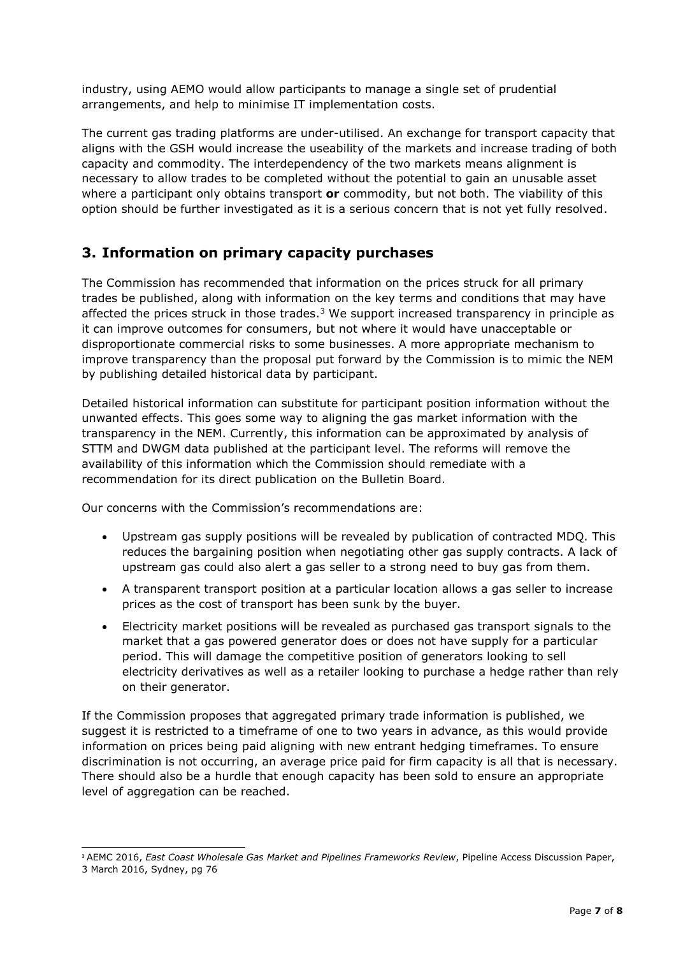industry, using AEMO would allow participants to manage a single set of prudential arrangements, and help to minimise IT implementation costs.

The current gas trading platforms are under-utilised. An exchange for transport capacity that aligns with the GSH would increase the useability of the markets and increase trading of both capacity and commodity. The interdependency of the two markets means alignment is necessary to allow trades to be completed without the potential to gain an unusable asset where a participant only obtains transport **or** commodity, but not both. The viability of this option should be further investigated as it is a serious concern that is not yet fully resolved.

## **3. Information on primary capacity purchases**

The Commission has recommended that information on the prices struck for all primary trades be published, along with information on the key terms and conditions that may have affected the prices struck in those trades. $3$  We support increased transparency in principle as it can improve outcomes for consumers, but not where it would have unacceptable or disproportionate commercial risks to some businesses. A more appropriate mechanism to improve transparency than the proposal put forward by the Commission is to mimic the NEM by publishing detailed historical data by participant.

Detailed historical information can substitute for participant position information without the unwanted effects. This goes some way to aligning the gas market information with the transparency in the NEM. Currently, this information can be approximated by analysis of STTM and DWGM data published at the participant level. The reforms will remove the availability of this information which the Commission should remediate with a recommendation for its direct publication on the Bulletin Board.

Our concerns with the Commission's recommendations are:

- Upstream gas supply positions will be revealed by publication of contracted MDQ. This reduces the bargaining position when negotiating other gas supply contracts. A lack of upstream gas could also alert a gas seller to a strong need to buy gas from them.
- A transparent transport position at a particular location allows a gas seller to increase prices as the cost of transport has been sunk by the buyer.
- Electricity market positions will be revealed as purchased gas transport signals to the market that a gas powered generator does or does not have supply for a particular period. This will damage the competitive position of generators looking to sell electricity derivatives as well as a retailer looking to purchase a hedge rather than rely on their generator.

If the Commission proposes that aggregated primary trade information is published, we suggest it is restricted to a timeframe of one to two years in advance, as this would provide information on prices being paid aligning with new entrant hedging timeframes. To ensure discrimination is not occurring, an average price paid for firm capacity is all that is necessary. There should also be a hurdle that enough capacity has been sold to ensure an appropriate level of aggregation can be reached.

<sup>-</sup><sup>3</sup> AEMC 2016, *East Coast Wholesale Gas Market and Pipelines Frameworks Review*, Pipeline Access Discussion Paper, 3 March 2016, Sydney, pg 76